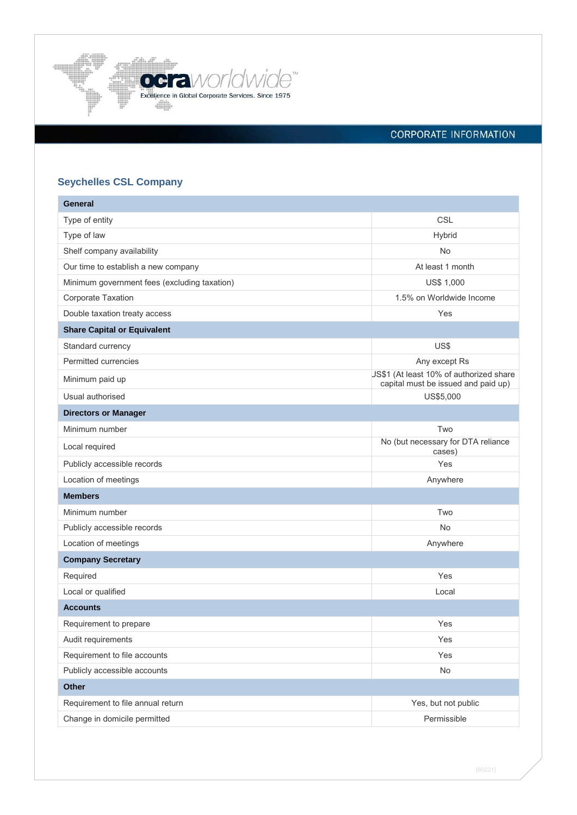

# **CORPORATE INFORMATION**

# **Seychelles CSL Company**

| <b>General</b>                               |                                                                                |
|----------------------------------------------|--------------------------------------------------------------------------------|
| Type of entity                               | CSL                                                                            |
| Type of law                                  | Hybrid                                                                         |
| Shelf company availability                   | <b>No</b>                                                                      |
| Our time to establish a new company          | At least 1 month                                                               |
| Minimum government fees (excluding taxation) | <b>US\$ 1,000</b>                                                              |
| Corporate Taxation                           | 1.5% on Worldwide Income                                                       |
| Double taxation treaty access                | Yes                                                                            |
| <b>Share Capital or Equivalent</b>           |                                                                                |
| Standard currency                            | US\$                                                                           |
| Permitted currencies                         | Any except Rs                                                                  |
| Minimum paid up                              | JS\$1 (At least 10% of authorized share<br>capital must be issued and paid up) |
| Usual authorised                             | US\$5,000                                                                      |
| <b>Directors or Manager</b>                  |                                                                                |
| Minimum number                               | Two                                                                            |
| Local required                               | No (but necessary for DTA reliance<br>cases)                                   |
| Publicly accessible records                  | Yes                                                                            |
| Location of meetings                         | Anywhere                                                                       |
| <b>Members</b>                               |                                                                                |
| Minimum number                               | Two                                                                            |
| Publicly accessible records                  | No                                                                             |
| Location of meetings                         | Anywhere                                                                       |
| <b>Company Secretary</b>                     |                                                                                |
| Required                                     | Yes                                                                            |
| Local or qualified                           | Local                                                                          |
| <b>Accounts</b>                              |                                                                                |
| Requirement to prepare                       | Yes                                                                            |
| Audit requirements                           | Yes                                                                            |
| Requirement to file accounts                 | Yes                                                                            |
| Publicly accessible accounts                 | No                                                                             |
| <b>Other</b>                                 |                                                                                |
| Requirement to file annual return            | Yes, but not public                                                            |
| Change in domicile permitted                 | Permissible                                                                    |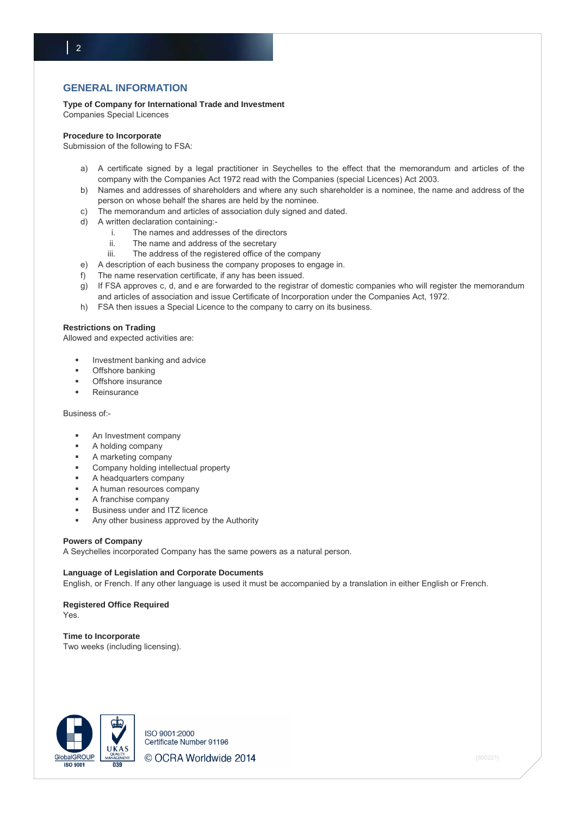# **GENERAL INFORMATION**

**Type of Company for International Trade and Investment**

Companies Special Licences

 $\vert$  2

#### **Procedure to Incorporate**

Submission of the following to FSA:

- a) A certificate signed by a legal practitioner in Seychelles to the effect that the memorandum and articles of the company with the Companies Act 1972 read with the Companies (special Licences) Act 2003.
- b) Names and addresses of shareholders and where any such shareholder is a nominee, the name and address of the person on whose behalf the shares are held by the nominee.
- c) The memorandum and articles of association duly signed and dated.
- d) A written declaration containing:
	- i. The names and addresses of the directors
	- ii. The name and address of the secretary
	- iii. The address of the registered office of the company
- e) A description of each business the company proposes to engage in.
- f) The name reservation certificate, if any has been issued.
- g) If FSA approves c, d, and e are forwarded to the registrar of domestic companies who will register the memorandum and articles of association and issue Certificate of Incorporation under the Companies Act, 1972.
- h) FSA then issues a Special Licence to the company to carry on its business.

#### **Restrictions on Trading**

Allowed and expected activities are:

- Investment banking and advice
- Offshore banking
- Offshore insurance
- **Reinsurance**

Business of:-

- **An Investment company**
- **A** holding company
- A marketing company
- Company holding intellectual property
- A headquarters company
- A human resources company
- A franchise company
- Business under and ITZ licence
- Any other business approved by the Authority

#### **Powers of Company**

A Seychelles incorporated Company has the same powers as a natural person.

#### **Language of Legislation and Corporate Documents**

English, or French. If any other language is used it must be accompanied by a translation in either English or French.

## **Registered Office Required**

Yes.

#### **Time to Incorporate**

Two weeks (including licensing).



ISO 9001:2000 Certificate Number 91196 © OCRA Worldwide 2014